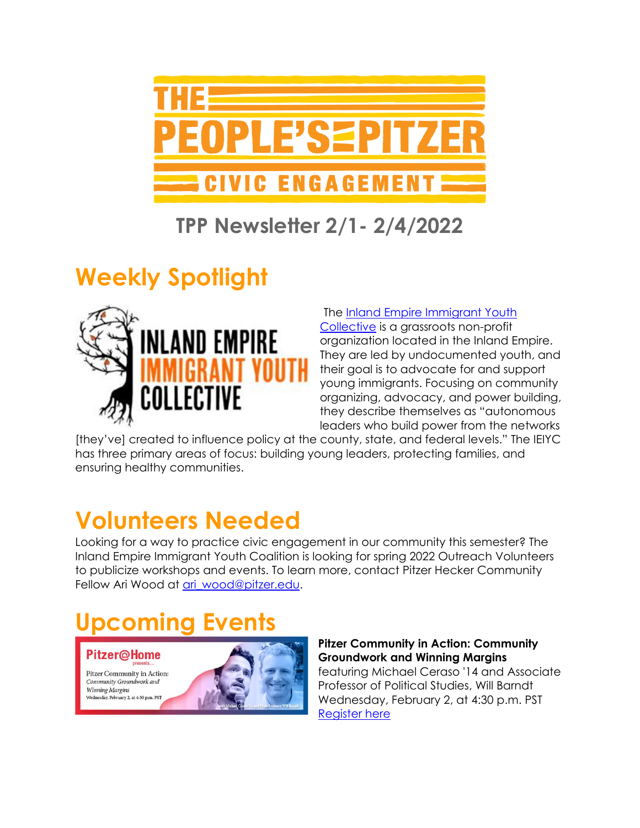

### **TPP Newsletter 2/1- 2/4/2022**

## **Weekly Spotlight**



#### The [Inland Empire Immigrant Youth](https://theieiyc.org/)

[Collective](https://theieiyc.org/) is a grassroots non-profit organization located in the Inland Empire. They are led by undocumented youth, and their goal is to advocate for and support young immigrants. Focusing on community organizing, advocacy, and power building, they describe themselves as "autonomous leaders who build power from the networks

[they've] created to influence policy at the county, state, and federal levels." The IEIYC has three primary areas of focus: building young leaders, protecting families, and ensuring healthy communities.

## **Volunteers Needed**

Looking for a way to practice civic engagement in our community this semester? The Inland Empire Immigrant Youth Coalition is looking for spring 2022 Outreach Volunteers to publicize workshops and events. To learn more, contact Pitzer Hecker Community Fellow Ari Wood at [ari\\_wood@pitzer.edu.](mailto:ari_wood@pitzer.edu)

# **Upcoming Events**

**Pitzer@Home** 

Pitzer Community in Action: Community Groundwork and **Winning Margins** sday, February 2, at 4:30 p.m. PST



**Pitzer Community in Action: Community Groundwork and Winning Margins** featuring Michael Ceraso '14 and Associate Professor of Political Studies, Will Barndt Wednesday, February 2, at 4:30 p.m. PST [Register here](https://pitzer.zoom.us/meeting/register/tZUoc-CprjstH9Gmlz3w0A3a7GazrOwUu8yl?bbeml=tp-QvtZSBQuy0OTSqwobLr7Dg.j4Ry9Vem04UaDup228Uc3DA.rvA0EFoeDZkyIBen-NZKZwA.ldKSbhSxjl0WZIH15knOItA)